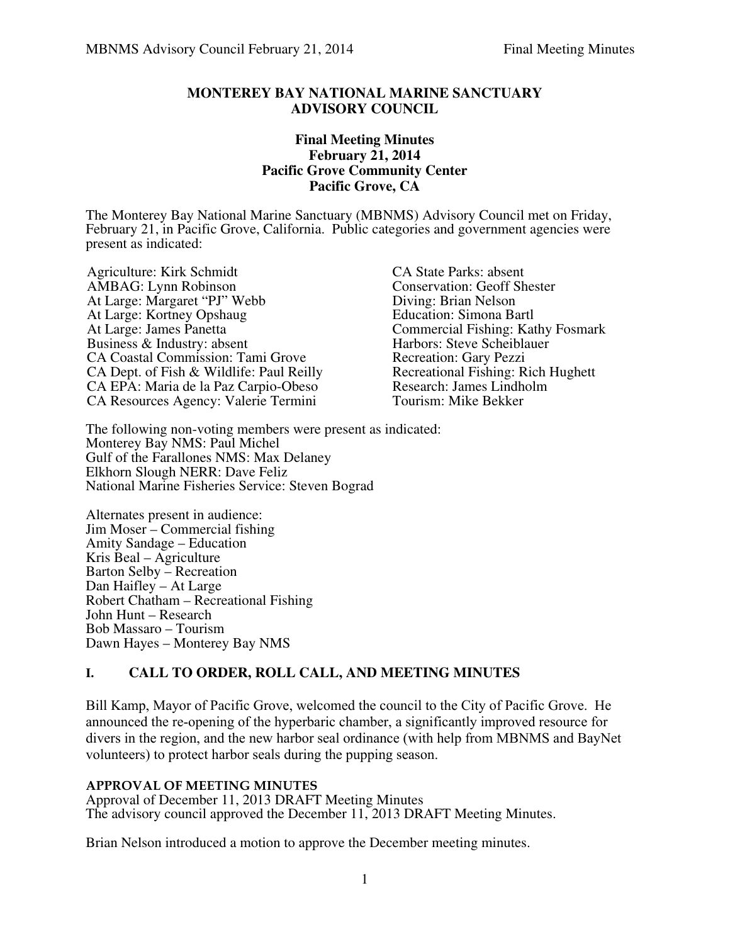#### **MONTEREY BAY NATIONAL MARINE SANCTUARY ADVISORY COUNCIL**

#### **Final Meeting Minutes February 21, 2014 Pacific Grove Community Center Pacific Grove, CA**

The Monterey Bay National Marine Sanctuary (MBNMS) Advisory Council met on Friday, February 21, in Pacific Grove, California. Public categories and government agencies were present as indicated:

Agriculture: Kirk Schmidt<br>
AMBAG: Lynn Robinson<br>
Conservation: Geoff Sh At Large: Margaret "PJ" Webb Diving: Brian Nelson<br>At Large: Kortney Opshaug Bucation: Simona Bartl At Large: Kortney Opshaug<br>At Large: James Panetta Business & Industry: absent Harbors: Steve Scheibland CA Coastal Commission: Tami Grove Recreation: Gary Pezzi CA Coastal Commission: Tami Grove<br>
CA Dept. of Fish & Wildlife: Paul Reilly<br>
Recreational Fishing: Rich Hughett CA Dept. of Fish & Wildlife: Paul Reilly Recreational Fishing: Rich CA EPA: Maria de la Paz Carpio-Obeso Research: James Lindholm CA EPA: Maria de la Paz Carpio-Obeso<br>
CA Resources Agency: Valerie Termini Tourism: Mike Bekker CA Resources Agency: Valerie Termini

Conservation: Geoff Shester<br>Diving: Brian Nelson Commercial Fishing: Kathy Fosmark<br>Harbors: Steve Scheiblauer

The following non-voting members were present as indicated: Monterey Bay NMS: Paul Michel Gulf of the Farallones NMS: Max Delaney Elkhorn Slough NERR: Dave Feliz National Marine Fisheries Service: Steven Bograd

Alternates present in audience: Jim Moser – Commercial fishing Amity Sandage – Education Kris Beal – Agriculture Barton Selby – Recreation Dan Haifley – At Large Robert Chatham – Recreational Fishing John Hunt – Research Bob Massaro – Tourism Dawn Hayes – Monterey Bay NMS

# **I. CALL TO ORDER, ROLL CALL, AND MEETING MINUTES**

Bill Kamp, Mayor of Pacific Grove, welcomed the council to the City of Pacific Grove. He announced the re-opening of the hyperbaric chamber, a significantly improved resource for divers in the region, and the new harbor seal ordinance (with help from MBNMS and BayNet volunteers) to protect harbor seals during the pupping season.

#### **APPROVAL OF MEETING MINUTES**

Approval of December 11, 2013 DRAFT Meeting Minutes The advisory council approved the December 11, 2013 DRAFT Meeting Minutes.

Brian Nelson introduced a motion to approve the December meeting minutes.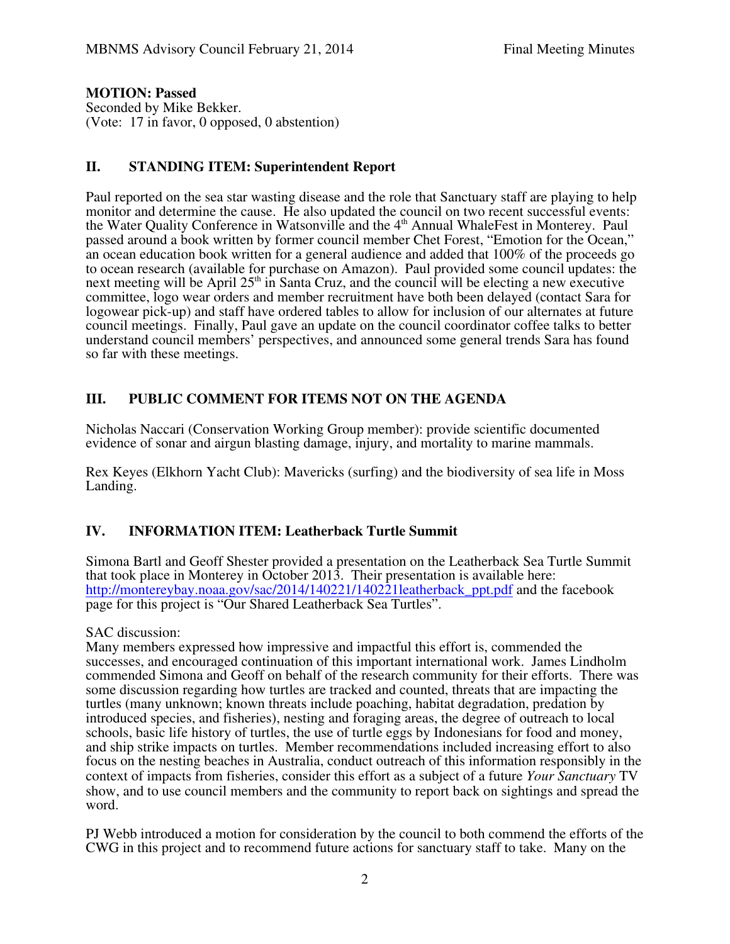#### **MOTION: Passed**

Seconded by Mike Bekker. (Vote: 17 in favor, 0 opposed, 0 abstention)

### **II. STANDING ITEM: Superintendent Report**

Paul reported on the sea star wasting disease and the role that Sanctuary staff are playing to help monitor and determine the cause. He also updated the council on two recent successful events: the Water Quality Conference in Watsonville and the 4<sup>th</sup> Annual WhaleFest in Monterey. Paul passed around a book written by former council member Chet Forest, "Emotion for the Ocean," an ocean education book written for a general audience and added that 100% of the proceeds go to ocean research (available for purchase on Amazon). Paul provided some council updates: the next meeting will be April  $25<sup>th</sup>$  in Santa Cruz, and the council will be electing a new executive committee, logo wear orders and member recruitment have both been delayed (contact Sara for logowear pick-up) and staff have ordered tables to allow for inclusion of our alternates at future council meetings. Finally, Paul gave an update on the council coordinator coffee talks to better understand council members' perspectives, and announced some general trends Sara has found so far with these meetings.

## **III. PUBLIC COMMENT FOR ITEMS NOT ON THE AGENDA**

Nicholas Naccari (Conservation Working Group member): provide scientific documented evidence of sonar and airgun blasting damage, injury, and mortality to marine mammals.

Rex Keyes (Elkhorn Yacht Club): Mavericks (surfing) and the biodiversity of sea life in Moss Landing.

### **IV. INFORMATION ITEM: Leatherback Turtle Summit**

Simona Bartl and Geoff Shester provided a presentation on the Leatherback Sea Turtle Summit that took place in Monterey in October 2013. Their presentation is available here: http://montereybay.noaa.gov/sac/2014/140221/140221leatherback\_ppt.pdf and the facebook page for this project is "Our Shared Leatherback Sea Turtles".

SAC discussion:

Many members expressed how impressive and impactful this effort is, commended the successes, and encouraged continuation of this important international work. James Lindholm commended Simona and Geoff on behalf of the research community for their efforts. There was some discussion regarding how turtles are tracked and counted, threats that are impacting the turtles (many unknown; known threats include poaching, habitat degradation, predation by introduced species, and fisheries), nesting and foraging areas, the degree of outreach to local schools, basic life history of turtles, the use of turtle eggs by Indonesians for food and money, and ship strike impacts on turtles. Member recommendations included increasing effort to also focus on the nesting beaches in Australia, conduct outreach of this information responsibly in the context of impacts from fisheries, consider this effort as a subject of a future *Your Sanctuary* TV show, and to use council members and the community to report back on sightings and spread the word.

PJ Webb introduced a motion for consideration by the council to both commend the efforts of the CWG in this project and to recommend future actions for sanctuary staff to take. Many on the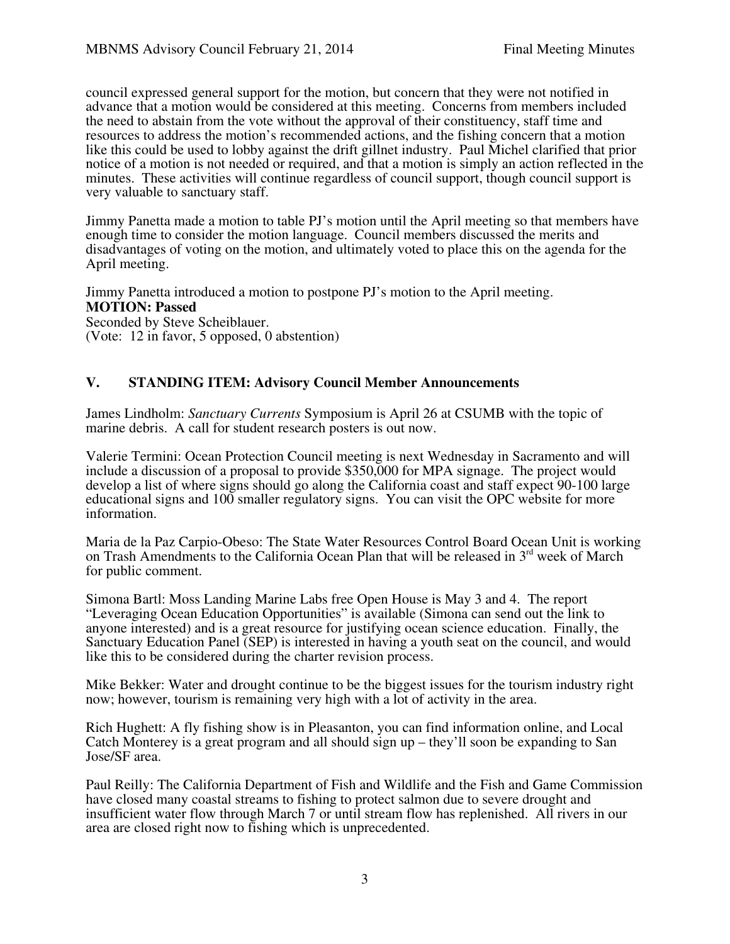council expressed general support for the motion, but concern that they were not notified in advance that a motion would be considered at this meeting. Concerns from members included the need to abstain from the vote without the approval of their constituency, staff time and resources to address the motion's recommended actions, and the fishing concern that a motion like this could be used to lobby against the drift gillnet industry. Paul Michel clarified that prior notice of a motion is not needed or required, and that a motion is simply an action reflected in the minutes. These activities will continue regardless of council support, though council support is very valuable to sanctuary staff.

Jimmy Panetta made a motion to table PJ's motion until the April meeting so that members have enough time to consider the motion language. Council members discussed the merits and disadvantages of voting on the motion, and ultimately voted to place this on the agenda for the April meeting.

Jimmy Panetta introduced a motion to postpone PJ's motion to the April meeting. **MOTION: Passed** Seconded by Steve Scheiblauer. (Vote: 12 in favor, 5 opposed, 0 abstention)

### **V. STANDING ITEM: Advisory Council Member Announcements**

James Lindholm: *Sanctuary Currents* Symposium is April 26 at CSUMB with the topic of marine debris. A call for student research posters is out now.

Valerie Termini: Ocean Protection Council meeting is next Wednesday in Sacramento and will include a discussion of a proposal to provide \$350,000 for MPA signage. The project would develop a list of where signs should go along the California coast and staff expect 90-100 large educational signs and 100 smaller regulatory signs. You can visit the OPC website for more information.

Maria de la Paz Carpio-Obeso: The State Water Resources Control Board Ocean Unit is working on Trash Amendments to the California Ocean Plan that will be released in  $3<sup>rd</sup>$  week of March for public comment.

Simona Bartl: Moss Landing Marine Labs free Open House is May 3 and 4. The report "Leveraging Ocean Education Opportunities" is available (Simona can send out the link to anyone interested) and is a great resource for justifying ocean science education. Finally, the Sanctuary Education Panel (SEP) is interested in having a youth seat on the council, and would like this to be considered during the charter revision process.

Mike Bekker: Water and drought continue to be the biggest issues for the tourism industry right now; however, tourism is remaining very high with a lot of activity in the area.

Rich Hughett: A fly fishing show is in Pleasanton, you can find information online, and Local Catch Monterey is a great program and all should sign up – they'll soon be expanding to San Jose/SF area.

Paul Reilly: The California Department of Fish and Wildlife and the Fish and Game Commission have closed many coastal streams to fishing to protect salmon due to severe drought and insufficient water flow through March 7 or until stream flow has replenished. All rivers in our area are closed right now to fishing which is unprecedented.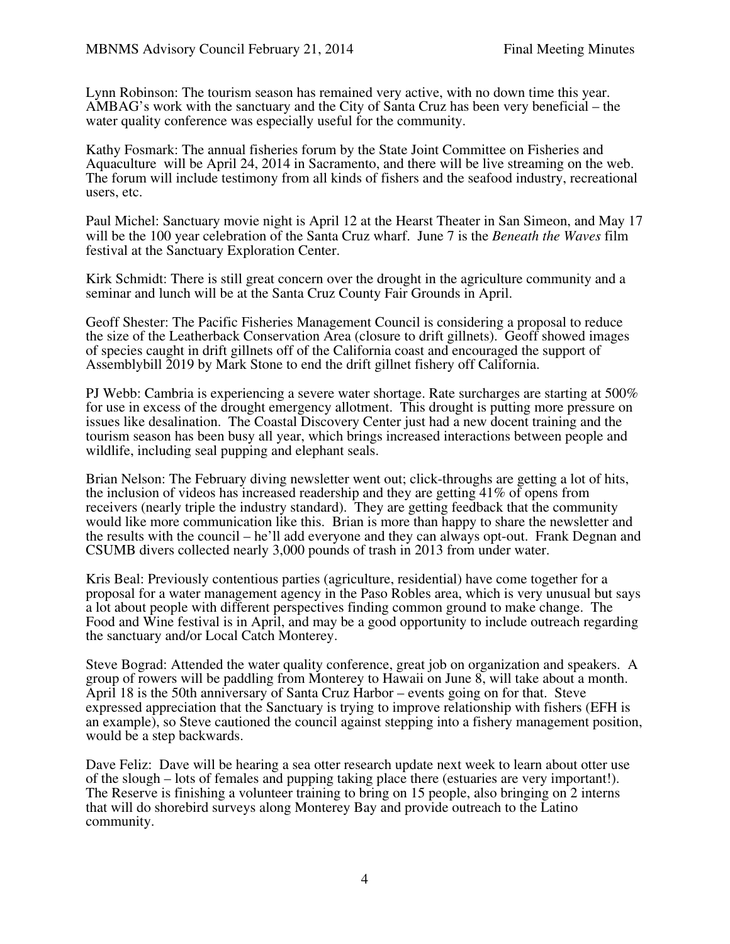Lynn Robinson: The tourism season has remained very active, with no down time this year. AMBAG's work with the sanctuary and the City of Santa Cruz has been very beneficial – the water quality conference was especially useful for the community.

Kathy Fosmark: The annual fisheries forum by the State Joint Committee on Fisheries and Aquaculture will be April 24, 2014 in Sacramento, and there will be live streaming on the web. The forum will include testimony from all kinds of fishers and the seafood industry, recreational users, etc.

Paul Michel: Sanctuary movie night is April 12 at the Hearst Theater in San Simeon, and May 17 will be the 100 year celebration of the Santa Cruz wharf. June 7 is the *Beneath the Waves* film festival at the Sanctuary Exploration Center.

Kirk Schmidt: There is still great concern over the drought in the agriculture community and a seminar and lunch will be at the Santa Cruz County Fair Grounds in April.

Geoff Shester: The Pacific Fisheries Management Council is considering a proposal to reduce the size of the Leatherback Conservation Area (closure to drift gillnets). Geoff showed images of species caught in drift gillnets off of the California coast and encouraged the support of Assemblybill 2019 by Mark Stone to end the drift gillnet fishery off California.

PJ Webb: Cambria is experiencing a severe water shortage. Rate surcharges are starting at 500% for use in excess of the drought emergency allotment. This drought is putting more pressure on issues like desalination. The Coastal Discovery Center just had a new docent training and the tourism season has been busy all year, which brings increased interactions between people and wildlife, including seal pupping and elephant seals.

Brian Nelson: The February diving newsletter went out; click-throughs are getting a lot of hits, the inclusion of videos has increased readership and they are getting 41% of opens from receivers (nearly triple the industry standard). They are getting feedback that the community would like more communication like this. Brian is more than happy to share the newsletter and the results with the council – he'll add everyone and they can always opt-out. Frank Degnan and CSUMB divers collected nearly 3,000 pounds of trash in 2013 from under water.

Kris Beal: Previously contentious parties (agriculture, residential) have come together for a proposal for a water management agency in the Paso Robles area, which is very unusual but says a lot about people with different perspectives finding common ground to make change. The Food and Wine festival is in April, and may be a good opportunity to include outreach regarding the sanctuary and/or Local Catch Monterey.

Steve Bograd: Attended the water quality conference, great job on organization and speakers. A group of rowers will be paddling from Monterey to Hawaii on June 8, will take about a month. April 18 is the 50th anniversary of Santa Cruz Harbor – events going on for that. Steve expressed appreciation that the Sanctuary is trying to improve relationship with fishers (EFH is an example), so Steve cautioned the council against stepping into a fishery management position, would be a step backwards.

Dave Feliz: Dave will be hearing a sea otter research update next week to learn about otter use of the slough – lots of females and pupping taking place there (estuaries are very important!). The Reserve is finishing a volunteer training to bring on 15 people, also bringing on 2 interns that will do shorebird surveys along Monterey Bay and provide outreach to the Latino community.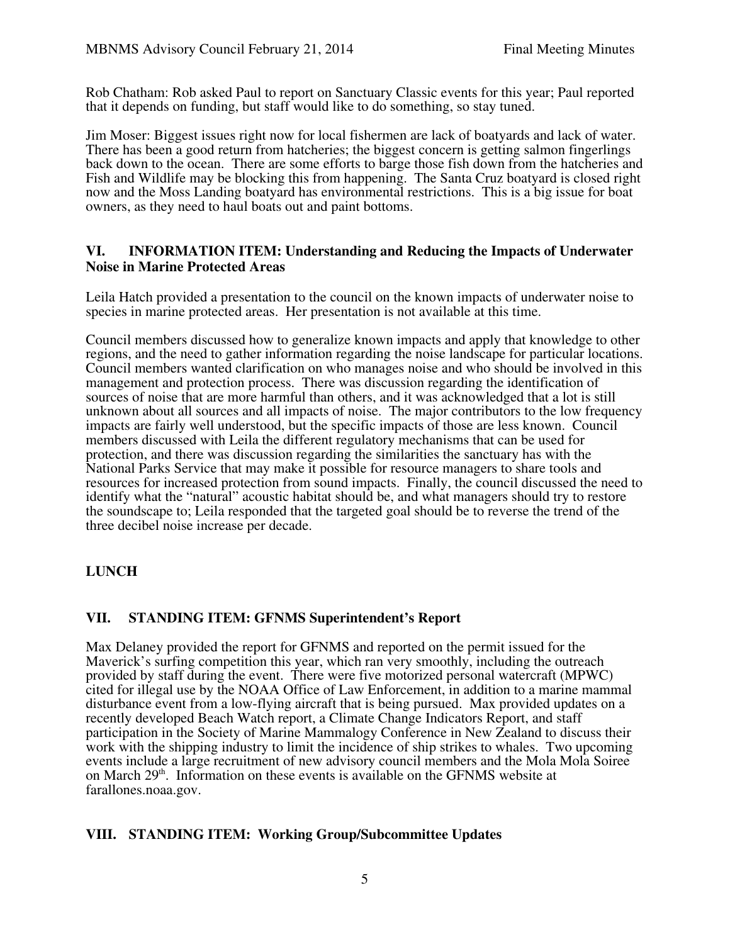Rob Chatham: Rob asked Paul to report on Sanctuary Classic events for this year; Paul reported that it depends on funding, but staff would like to do something, so stay tuned.

Jim Moser: Biggest issues right now for local fishermen are lack of boatyards and lack of water. There has been a good return from hatcheries; the biggest concern is getting salmon fingerlings back down to the ocean. There are some efforts to barge those fish down from the hatcheries and Fish and Wildlife may be blocking this from happening. The Santa Cruz boatyard is closed right now and the Moss Landing boatyard has environmental restrictions. This is a big issue for boat owners, as they need to haul boats out and paint bottoms.

#### **VI. INFORMATION ITEM: Understanding and Reducing the Impacts of Underwater Noise in Marine Protected Areas**

Leila Hatch provided a presentation to the council on the known impacts of underwater noise to species in marine protected areas. Her presentation is not available at this time.

Council members discussed how to generalize known impacts and apply that knowledge to other regions, and the need to gather information regarding the noise landscape for particular locations. Council members wanted clarification on who manages noise and who should be involved in this management and protection process. There was discussion regarding the identification of sources of noise that are more harmful than others, and it was acknowledged that a lot is still unknown about all sources and all impacts of noise. The major contributors to the low frequency impacts are fairly well understood, but the specific impacts of those are less known. Council members discussed with Leila the different regulatory mechanisms that can be used for protection, and there was discussion regarding the similarities the sanctuary has with the National Parks Service that may make it possible for resource managers to share tools and resources for increased protection from sound impacts. Finally, the council discussed the need to identify what the "natural" acoustic habitat should be, and what managers should try to restore the soundscape to; Leila responded that the targeted goal should be to reverse the trend of the three decibel noise increase per decade.

### **LUNCH**

#### **VII. STANDING ITEM: GFNMS Superintendent's Report**

Max Delaney provided the report for GFNMS and reported on the permit issued for the Maverick's surfing competition this year, which ran very smoothly, including the outreach provided by staff during the event. There were five motorized personal watercraft (MPWC) cited for illegal use by the NOAA Office of Law Enforcement, in addition to a marine mammal disturbance event from a low-flying aircraft that is being pursued. Max provided updates on a recently developed Beach Watch report, a Climate Change Indicators Report, and staff participation in the Society of Marine Mammalogy Conference in New Zealand to discuss their work with the shipping industry to limit the incidence of ship strikes to whales. Two upcoming events include a large recruitment of new advisory council members and the Mola Mola Soiree on March 29<sup>th</sup>. Information on these events is available on the GFNMS website at farallones.noaa.gov.

### **VIII. STANDING ITEM: Working Group/Subcommittee Updates**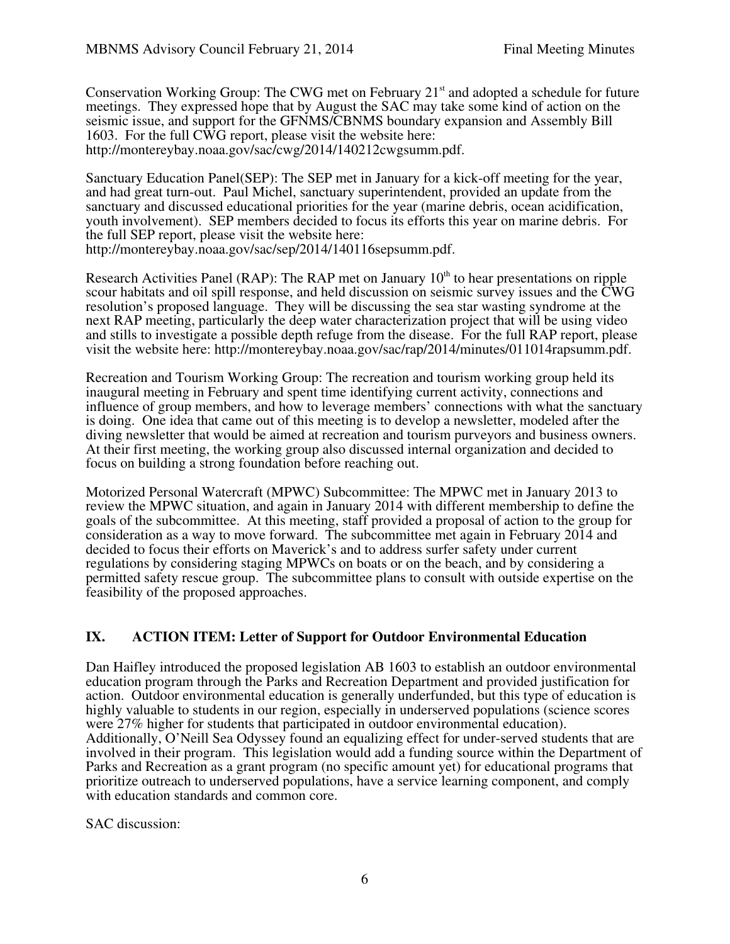Conservation Working Group: The CWG met on February 21<sup>st</sup> and adopted a schedule for future meetings. They expressed hope that by August the SAC may take some kind of action on the seismic issue, and support for the GFNMS/CBNMS boundary expansion and Assembly Bill 1603. For the full CWG report, please visit the website here: http://montereybay.noaa.gov/sac/cwg/2014/140212cwgsumm.pdf.

Sanctuary Education Panel(SEP): The SEP met in January for a kick-off meeting for the year, and had great turn-out. Paul Michel, sanctuary superintendent, provided an update from the sanctuary and discussed educational priorities for the year (marine debris, ocean acidification, youth involvement). SEP members decided to focus its efforts this year on marine debris. For the full SEP report, please visit the website here: http://montereybay.noaa.gov/sac/sep/2014/140116sepsumm.pdf.

Research Activities Panel (RAP): The RAP met on January  $10<sup>th</sup>$  to hear presentations on ripple scour habitats and oil spill response, and held discussion on seismic survey issues and the CWG resolution's proposed language. They will be discussing the sea star wasting syndrome at the next RAP meeting, particularly the deep water characterization project that will be using video and stills to investigate a possible depth refuge from the disease. For the full RAP report, please visit the website here: http://montereybay.noaa.gov/sac/rap/2014/minutes/011014rapsumm.pdf.

Recreation and Tourism Working Group: The recreation and tourism working group held its inaugural meeting in February and spent time identifying current activity, connections and influence of group members, and how to leverage members' connections with what the sanctuary is doing. One idea that came out of this meeting is to develop a newsletter, modeled after the diving newsletter that would be aimed at recreation and tourism purveyors and business owners. At their first meeting, the working group also discussed internal organization and decided to focus on building a strong foundation before reaching out.

Motorized Personal Watercraft (MPWC) Subcommittee: The MPWC met in January 2013 to review the MPWC situation, and again in January 2014 with different membership to define the goals of the subcommittee. At this meeting, staff provided a proposal of action to the group for consideration as a way to move forward. The subcommittee met again in February 2014 and decided to focus their efforts on Maverick's and to address surfer safety under current regulations by considering staging MPWCs on boats or on the beach, and by considering a permitted safety rescue group. The subcommittee plans to consult with outside expertise on the feasibility of the proposed approaches.

### **IX. ACTION ITEM: Letter of Support for Outdoor Environmental Education**

Dan Haifley introduced the proposed legislation AB 1603 to establish an outdoor environmental education program through the Parks and Recreation Department and provided justification for action. Outdoor environmental education is generally underfunded, but this type of education is highly valuable to students in our region, especially in underserved populations (science scores were 27% higher for students that participated in outdoor environmental education). Additionally, O'Neill Sea Odyssey found an equalizing effect for under-served students that are involved in their program. This legislation would add a funding source within the Department of Parks and Recreation as a grant program (no specific amount yet) for educational programs that prioritize outreach to underserved populations, have a service learning component, and comply with education standards and common core.

SAC discussion: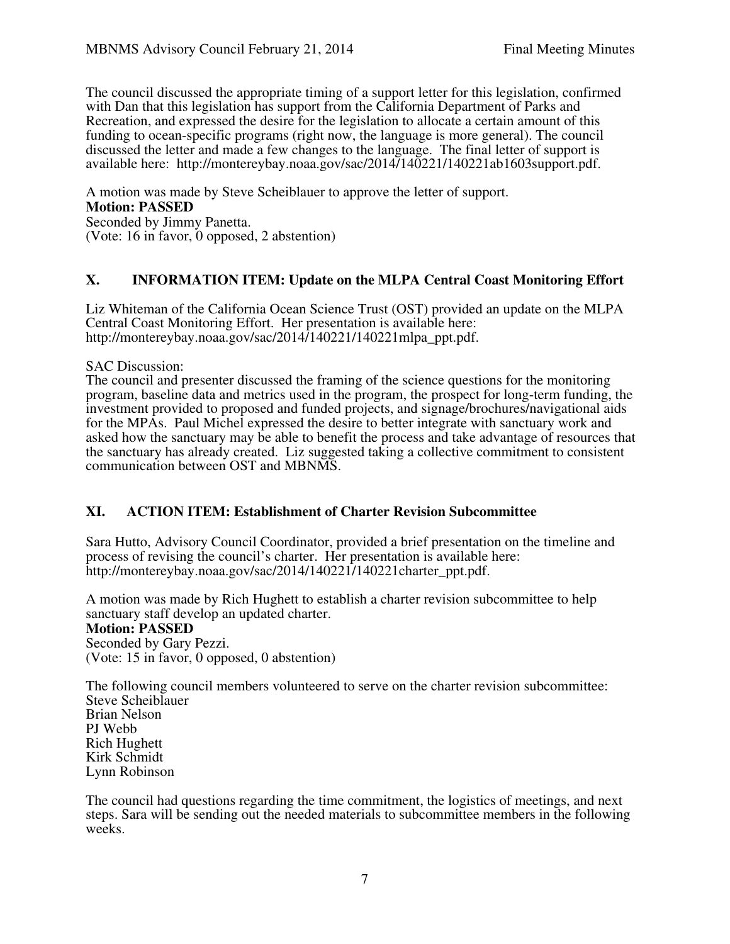The council discussed the appropriate timing of a support letter for this legislation, confirmed with Dan that this legislation has support from the California Department of Parks and Recreation, and expressed the desire for the legislation to allocate a certain amount of this funding to ocean-specific programs (right now, the language is more general). The council discussed the letter and made a few changes to the language. The final letter of support is available here: http://montereybay.noaa.gov/sac/2014/140221/140221ab1603support.pdf.

A motion was made by Steve Scheiblauer to approve the letter of support. **Motion: PASSED** Seconded by Jimmy Panetta. (Vote: 16 in favor, 0 opposed, 2 abstention)

### **X. INFORMATION ITEM: Update on the MLPA Central Coast Monitoring Effort**

Liz Whiteman of the California Ocean Science Trust (OST) provided an update on the MLPA Central Coast Monitoring Effort. Her presentation is available here: http://montereybay.noaa.gov/sac/2014/140221/140221mlpa\_ppt.pdf.

SAC Discussion:

The council and presenter discussed the framing of the science questions for the monitoring program, baseline data and metrics used in the program, the prospect for long-term funding, the investment provided to proposed and funded projects, and signage/brochures/navigational aids for the MPAs. Paul Michel expressed the desire to better integrate with sanctuary work and asked how the sanctuary may be able to benefit the process and take advantage of resources that the sanctuary has already created. Liz suggested taking a collective commitment to consistent communication between OST and MBNMS.

### **XI. ACTION ITEM: Establishment of Charter Revision Subcommittee**

Sara Hutto, Advisory Council Coordinator, provided a brief presentation on the timeline and process of revising the council's charter. Her presentation is available here: http://montereybay.noaa.gov/sac/2014/140221/140221charter\_ppt.pdf.

A motion was made by Rich Hughett to establish a charter revision subcommittee to help sanctuary staff develop an updated charter.

#### **Motion: PASSED**

Seconded by Gary Pezzi. (Vote: 15 in favor, 0 opposed, 0 abstention)

The following council members volunteered to serve on the charter revision subcommittee: Steve Scheiblauer Brian Nelson PJ Webb Rich Hughett Kirk Schmidt Lynn Robinson

The council had questions regarding the time commitment, the logistics of meetings, and next steps. Sara will be sending out the needed materials to subcommittee members in the following weeks.